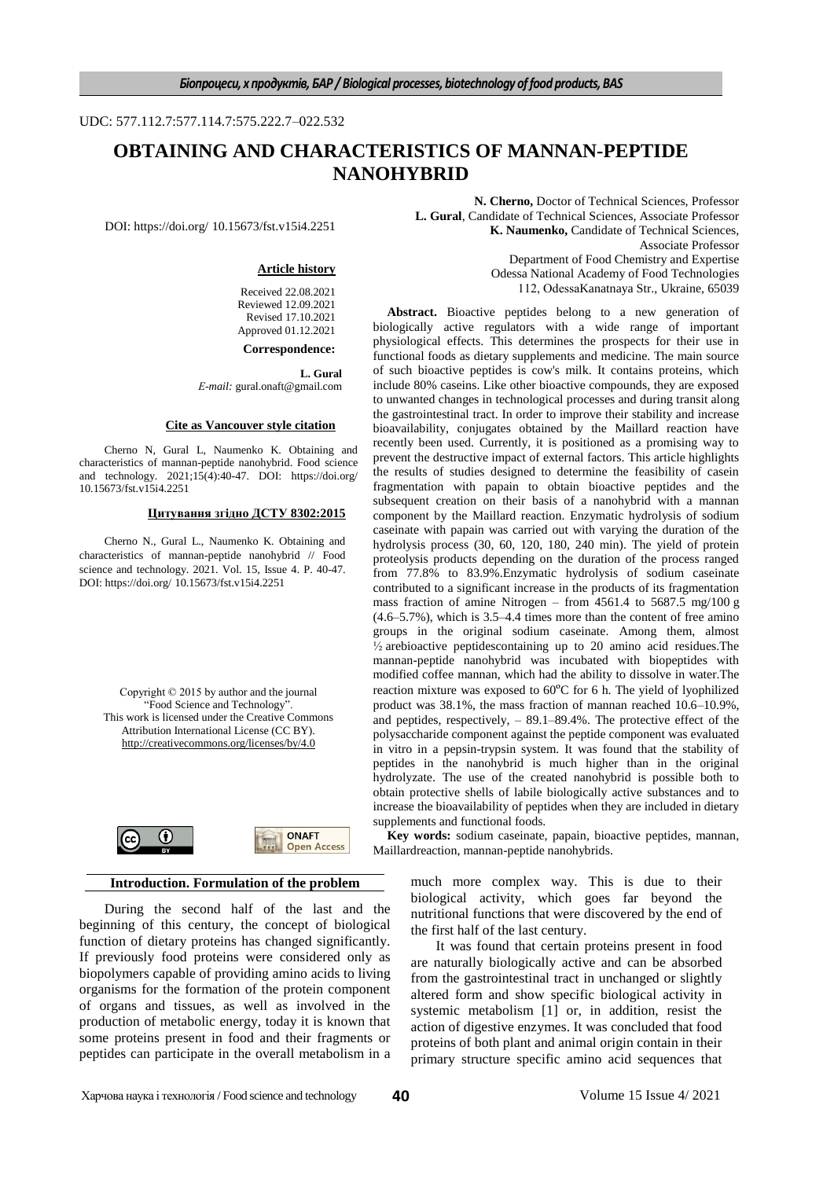#### UDC: 577.112.7:577.114.7:575.222.7–022.532

# **OBTAINING AND CHARACTERISTICS OF MANNAN-PEPTIDE NANOHYBRID**

DOI: https://doi.org/ 10.15673/fst.v15i4.2251

#### **Article history**

Received 22.08.2021 Reviewed 12.09.2021 Revised 17.10.2021 Approved 01.12.2021 **Correspondence:**

**L. Gural**

*Е-mail:* gural.onaft@gmail.com

#### **Cite as Vancouver style citation**

Cherno N, Gural L, Naumenko K. Obtaining and characteristics of mannan-peptide nanohybrid. Food science and technology. 2021;15(4):40-47. DOI: https://doi.org/ 10.15673/fst.v15i4.2251

#### **Цитування згідно ДСТУ 8302:2015**

Cherno N., Gural L., Naumenko K. Obtaining and characteristics of mannan-peptide nanohybrid // Food science and technology. 2021. Vol. 15, Issue 4. P. 40-47. DOI: https://doi.org/ 10.15673/fst.v15i4.2251

Copyright © 2015 by author and the journal "Food Science and Technology". This work is licensed under the Creative Commons Attribution International License (CC BY). <http://creativecommons.org/licenses/by/4.0>



## **Introduction. Formulation of the problem**

During the second half of the last and the beginning of this century, the concept of biological function of dietary proteins has changed significantly. If previously food proteins were considered only as biopolymers capable of providing amino acids to living organisms for the formation of the protein component of organs and tissues, as well as involved in the production of metabolic energy, today it is known that some proteins present in food and their fragments or peptides can participate in the overall metabolism in a

**N. Cherno,** Doctor of Technical Sciences, Professor **L. Gural**, Candidate of Technical Sciences, Associate Professor **K. Naumenko,** Candidate of Technical Sciences, Associate Professor Department of Food Chemistry and Expertise Odessa National Academy of Food Technologies 112, ОdessaKanatnaya Str., Ukraine, 65039

**Abstract.** Bioactive peptides belong to a new generation of biologically active regulators with a wide range of important physiological effects. This determines the prospects for their use in functional foods as dietary supplements and medicine. The main source of such bioactive peptides is cow's milk. It contains proteins, which include 80% caseins. Like other bioactive compounds, they are exposed to unwanted changes in technological processes and during transit along the gastrointestinal tract. In order to improve their stability and increase bioavailability, conjugates obtained by the Maillard reaction have recently been used. Currently, it is positioned as a promising way to prevent the destructive impact of external factors. This article highlights the results of studies designed to determine the feasibility of casein fragmentation with papain to obtain bioactive peptides and the subsequent creation on their basis of a nanohybrid with a mannan component by the Maillard reaction. Enzymatic hydrolysis of sodium caseinate with papain was carried out with varying the duration of the hydrolysis process (30, 60, 120, 180, 240 min). The yield of protein proteolysis products depending on the duration of the process ranged from 77.8% to 83.9%.Enzymatic hydrolysis of sodium caseinate contributed to a significant increase in the products of its fragmentation mass fraction of amine Nitrogen – from 4561.4 to 5687.5 mg/100 g (4.6–5.7%), which is 3.5–4.4 times more than the content of free amino groups in the original sodium caseinate. Among them, almost ½ arebioactive peptidescontaining up to 20 amino acid residues.The mannan-peptide nanohybrid was incubated with biopeptides with modified coffee mannan, which had the ability to dissolve in water.The reaction mixture was exposed to 60ºC for 6 h. The yield of lyophilized product was 38.1%, the mass fraction of mannan reached 10.6–10.9%, and peptides, respectively, – 89.1–89.4%. The protective effect of the polysaccharide component against the peptide component was evaluated in vitro in a pepsin-trypsin system. It was found that the stability of peptides in the nanohybrid is much higher than in the original hydrolyzate. The use of the created nanohybrid is possible both to obtain protective shells of labile biologically active substances and to increase the bioavailability of peptides when they are included in dietary supplements and functional foods.

**Key words:** sodium caseinate, papain, bioactive peptides, mannan, Maillardreaction, mannan-peptide nanohybrids.

> much more complex way. This is due to their biological activity, which goes far beyond the nutritional functions that were discovered by the end of the first half of the last century.

> It was found that certain proteins present in food are naturally biologically active and can be absorbed from the gastrointestinal tract in unchanged or slightly altered form and show specific biological activity in systemic metabolism [1] or, in addition, resist the action of digestive enzymes. It was concluded that food proteins of both plant and animal origin contain in their primary structure specific amino acid sequences that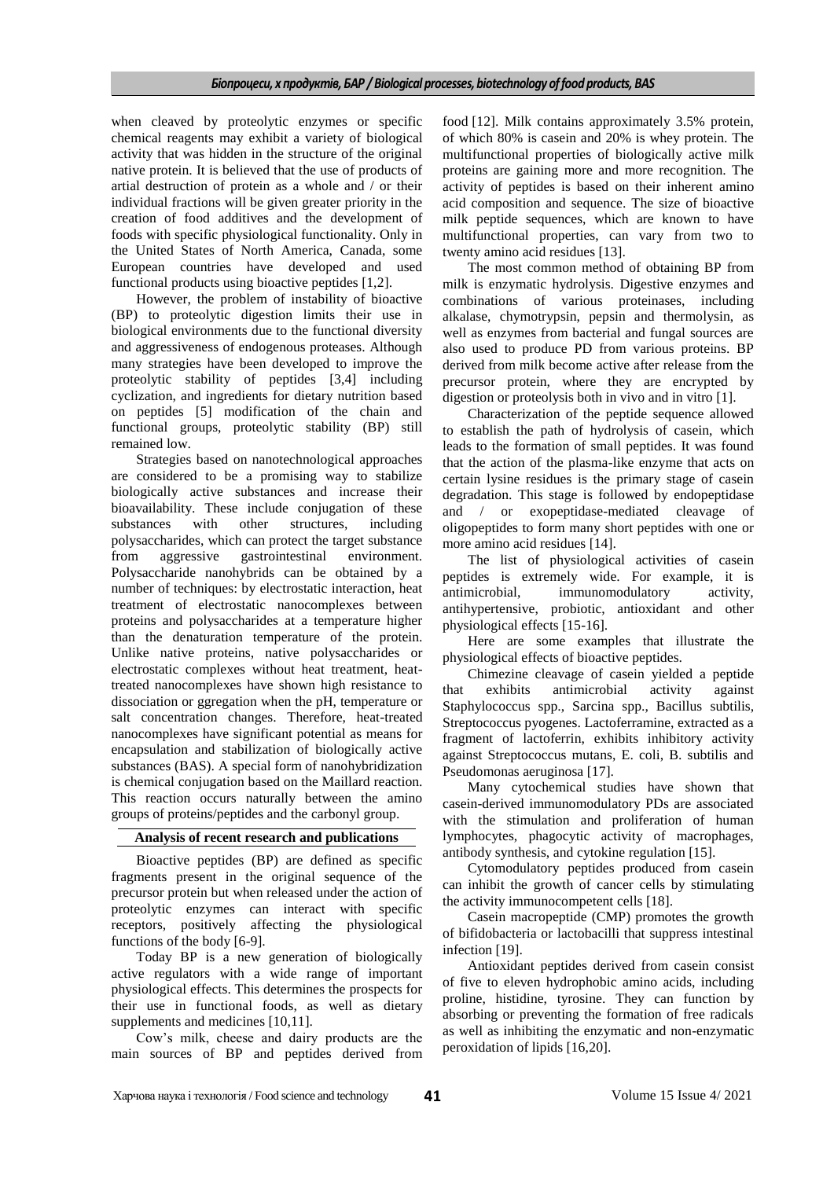when cleaved by proteolytic enzymes or specific chemical reagents may exhibit a variety of biological activity that was hidden in the structure of the original native protein. It is believed that the use of products of artial destruction of protein as a whole and / or their individual fractions will be given greater priority in the creation of food additives and the development of foods with specific physiological functionality. Only in the United States of North America, Canada, some European countries have developed and used functional products using bioactive peptides [1,2].

However, the problem of instability of bioactive (BP) to proteolytic digestion limits their use in biological environments due to the functional diversity and aggressiveness of endogenous proteases. Although many strategies have been developed to improve the proteolytic stability of peptides [3,4] including cyclization, and ingredients for dietary nutrition based on peptides [5] modification of the chain and functional groups, proteolytic stability (BP) still remained low.

Strategies based on nanotechnological approaches are considered to be a promising way to stabilize biologically active substances and increase their bioavailability. These include conjugation of these substances with other structures, including polysaccharides, which can protect the target substance from aggressive gastrointestinal environment. Polysaccharide nanohybrids can be obtained by a number of techniques: by electrostatic interaction, heat treatment of electrostatic nanocomplexes between proteins and polysaccharides at a temperature higher than the denaturation temperature of the protein. Unlike native proteins, native polysaccharides or electrostatic complexes without heat treatment, heattreated nanocomplexes have shown high resistance to dissociation or ggregation when the pH, temperature or salt concentration changes. Therefore, heat-treated nanocomplexes have significant potential as means for encapsulation and stabilization of biologically active substances (BAS). A special form of nanohybridization is chemical conjugation based on the Maillard reaction. This reaction occurs naturally between the amino groups of proteins/peptides and the carbonyl group.

### **Analysis of recent research and publications**

Bioactive peptides (BP) are defined as specific fragments present in the original sequence of the precursor protein but when released under the action of proteolytic enzymes can interact with specific receptors, positively affecting the physiological functions of the body [6-9].

Today BP is a new generation of biologically active regulators with a wide range of important physiological effects. This determines the prospects for their use in functional foods, as well as dietary supplements and medicines [10,11].

Cow's milk, cheese and dairy products are the main sources of BP and peptides derived from food [12]. Milk contains approximately 3.5% protein, of which 80% is casein and 20% is whey protein. The multifunctional properties of biologically active milk proteins are gaining more and more recognition. The activity of peptides is based on their inherent amino acid composition and sequence. The size of bioactive milk peptide sequences, which are known to have multifunctional properties, can vary from two to twenty amino acid residues [13].

The most common method of obtaining BP from milk is enzymatic hydrolysis. Digestive enzymes and combinations of various proteinases, including alkalase, chymotrypsin, pepsin and thermolysin, as well as enzymes from bacterial and fungal sources are also used to produce PD from various proteins. BP derived from milk become active after release from the precursor protein, where they are encrypted by digestion or proteolysis both in vivo and in vitro [1].

Characterization of the peptide sequence allowed to establish the path of hydrolysis of casein, which leads to the formation of small peptides. It was found that the action of the plasma-like enzyme that acts on certain lysine residues is the primary stage of casein degradation. This stage is followed by endopeptidase and / or exopeptidase-mediated cleavage of oligopeptides to form many short peptides with one or more amino acid residues [14].

The list of physiological activities of casein peptides is extremely wide. For example, it is antimicrobial, immunomodulatory activity, antihypertensive, probiotic, antioxidant and other physiological effects [15-16].

Here are some examples that illustrate the physiological effects of bioactive peptides.

Chimezine cleavage of casein yielded a peptide that exhibits antimicrobial activity against Staphylococcus spp., Sarcina spp., Bacillus subtilis, Streptococcus pyogenes. Lactoferramine, extracted as a fragment of lactoferrin, exhibits inhibitory activity against Streptococcus mutans, E. coli, B. subtilis and Pseudomonas aeruginosa [17].

Many cytochemical studies have shown that casein-derived immunomodulatory PDs are associated with the stimulation and proliferation of human lymphocytes, phagocytic activity of macrophages, antibody synthesis, and cytokine regulation [15].

Cytomodulatory peptides produced from casein can inhibit the growth of cancer cells by stimulating the activity immunocompetent cells [18].

Casein macropeptide (CMP) promotes the growth of bifidobacteria or lactobacilli that suppress intestinal infection [19].

Antioxidant peptides derived from casein consist of five to eleven hydrophobic amino acids, including proline, histidine, tyrosine. They can function by absorbing or preventing the formation of free radicals as well as inhibiting the enzymatic and non-enzymatic peroxidation of lipids [16,20].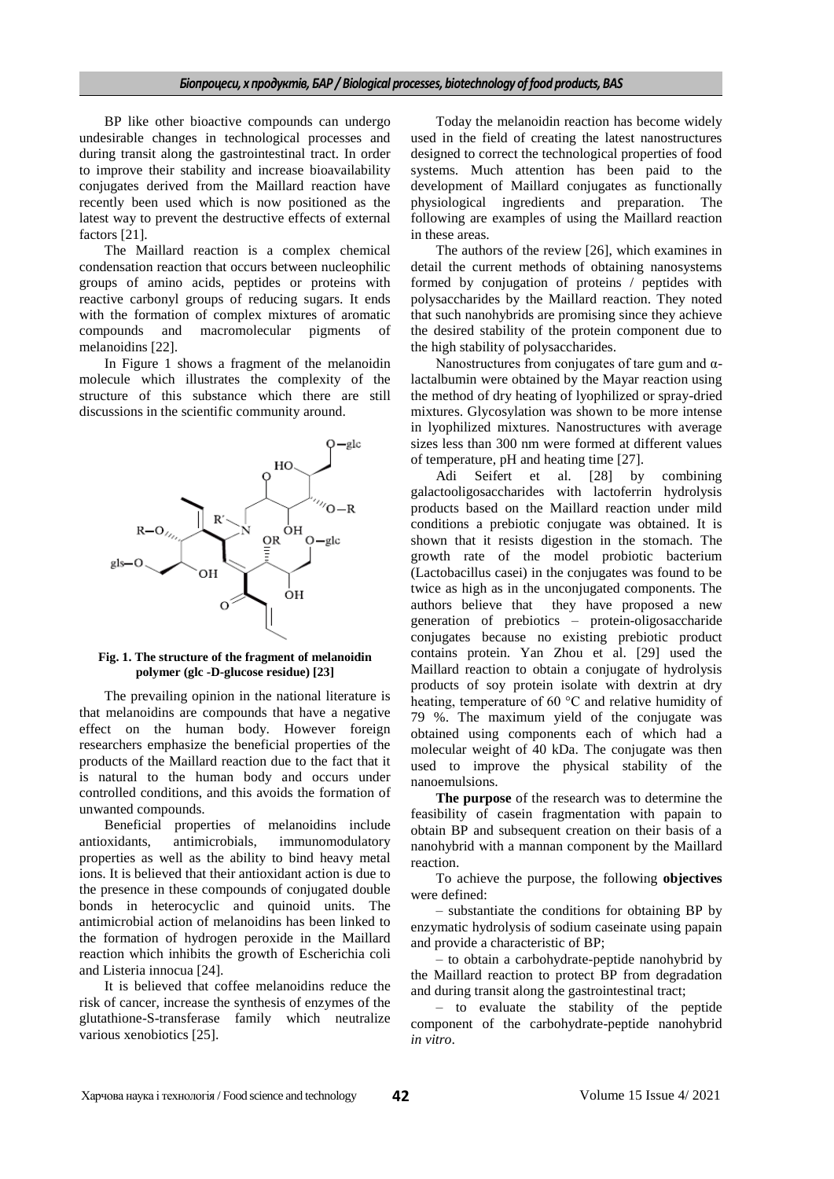#### *Біопроцеси, х продуктів, БАР / Biological processes, biotechnology of food products, BAS*

BP like other bioactive compounds can undergo undesirable changes in technological processes and during transit along the gastrointestinal tract. In order to improve their stability and increase bioavailability conjugates derived from the Maillard reaction have recently been used which is now positioned as the latest way to prevent the destructive effects of external factors [21].

The Maillard reaction is a complex chemical condensation reaction that occurs between nucleophilic groups of amino acids, peptides or proteins with reactive carbonyl groups of reducing sugars. It ends with the formation of complex mixtures of aromatic compounds and macromolecular pigments of melanoidins [22].

In Figure 1 shows a fragment of the melanoidin molecule which illustrates the complexity of the structure of this substance which there are still discussions in the scientific community around.



**Fig. 1. The structure of the fragment of melanoidin polymer (glc -D-glucose residue) [23]**

The prevailing opinion in the national literature is that melanoidins are compounds that have a negative effect on the human body. However foreign researchers emphasize the beneficial properties of the products of the Maillard reaction due to the fact that it is natural to the human body and occurs under controlled conditions, and this avoids the formation of unwanted compounds.

Beneficial properties of melanoidins include antioxidants, antimicrobials, immunomodulatory properties as well as the ability to bind heavy metal ions. It is believed that their antioxidant action is due to the presence in these compounds of conjugated double bonds in heterocyclic and quinoid units. The antimicrobial action of melanoidins has been linked to the formation of hydrogen peroxide in the Maillard reaction which inhibits the growth of Escherichia coli and Listeria innocua [24].

It is believed that coffee melanoidins reduce the risk of cancer, increase the synthesis of enzymes of the glutathione-S-transferase family which neutralize various xenobiotics [25].

Today the melanoidin reaction has become widely used in the field of creating the latest nanostructures designed to correct the technological properties of food systems. Much attention has been paid to the development of Maillard conjugates as functionally physiological ingredients and preparation. The following are examples of using the Maillard reaction in these areas.

The authors of the review [26], which examines in detail the current methods of obtaining nanosystems formed by conjugation of proteins / peptides with polysaccharides by the Maillard reaction. They noted that such nanohybrids are promising since they achieve the desired stability of the protein component due to the high stability of polysaccharides.

Nanostructures from conjugates of tare gum and  $\alpha$ lactalbumin were obtained by the Mayar reaction using the method of dry heating of lyophilized or spray-dried mixtures. Glycosylation was shown to be more intense in lyophilized mixtures. Nanostructures with average sizes less than 300 nm were formed at different values of temperature, pH and heating time [27].

Adi Seifert et al. [28] by combining galactooligosaccharides with lactoferrin hydrolysis products based on the Maillard reaction under mild conditions a prebiotic conjugate was obtained. It is shown that it resists digestion in the stomach. The growth rate of the model probiotic bacterium (Lactobacillus casei) in the conjugates was found to be twice as high as in the unconjugated components. The authors believe that they have proposed a new generation of prebiotics – protein-oligosaccharide conjugates because no existing prebiotic product contains protein. Yan Zhou et al. [29] used the Maillard reaction to obtain a conjugate of hydrolysis products of soy protein isolate with dextrin at dry heating, temperature of 60 °C and relative humidity of 79 %. The maximum yield of the conjugate was obtained using components each of which had a molecular weight of 40 kDa. The conjugate was then used to improve the physical stability of the nanoemulsions.

**The purpose** of the research was to determine the feasibility of casein fragmentation with papain to obtain BP and subsequent creation on their basis of a nanohybrid with a mannan component by the Maillard reaction.

To achieve the purpose, the following **objectives** were defined:

– substantiate the conditions for obtaining BP by enzymatic hydrolysis of sodium caseinate using papain and provide a characteristic of BP;

– to obtain a carbohydrate-peptide nanohybrid by the Maillard reaction to protect BP from degradation and during transit along the gastrointestinal tract;

– to evaluate the stability of the peptide component of the carbohydrate-peptide nanohybrid *in vitro*.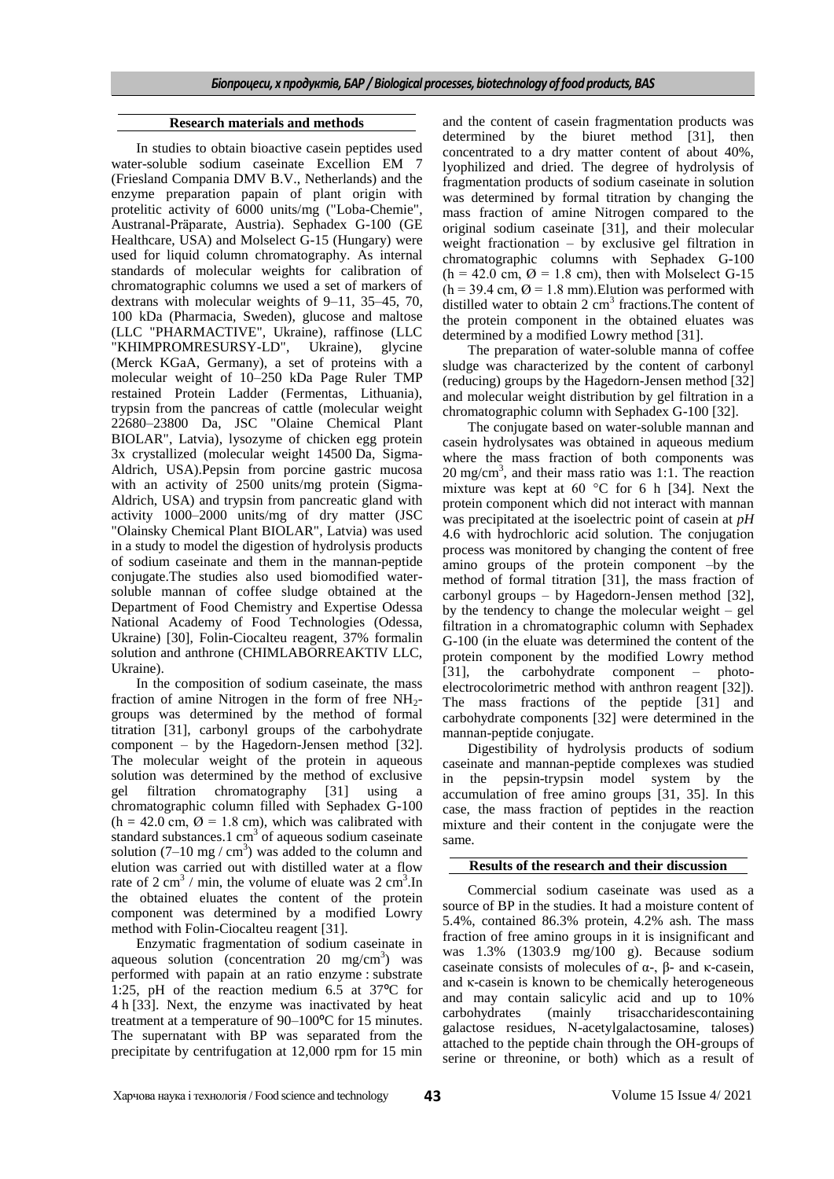#### **Research materials and methods**

In studies to obtain bioactive casein peptides used water-soluble sodium caseinate Excellion EM 7 (Friesland Compania DMV B.V., Netherlands) and the enzyme preparation papain of plant origin with protelitic activity of 6000 units/mg ("Loba-Chemie", Austranal-Präparate, Austria). Sephadex G-100 (GE Healthcare, USA) and Molselect G-15 (Hungary) were used for liquid column chromatography. As internal standards of molecular weights for calibration of chromatographic columns we used a set of markers of dextrans with molecular weights of 9–11, 35–45, 70, 100 kDa (Pharmacia, Sweden), glucose and maltose (LLC "PHARMACTIVE", Ukraine), raffinose (LLC "KHIMPROMRESURSY-LD", Ukraine), glycine (Merck KGaA, Germany), a set of proteins with a molecular weight of 10–250 kDa Page Ruler TMP restained Protein Ladder (Fermentas, Lithuania), trypsin from the pancreas of cattle (molecular weight 22680–23800 Da, JSC "Olaine Chemical Plant BIOLAR", Latvia), lysozyme of chicken egg protein 3x crystallized (molecular weight 14500 Da, Sigma-Aldrich, USA).Pepsin from porcine gastric mucosa with an activity of 2500 units/mg protein (Sigma-Aldrich, USA) and trypsin from pancreatic gland with activity 1000–2000 units/mg of dry matter (JSC "Olainsky Chemical Plant BIOLAR", Latvia) was used in a study to model the digestion of hydrolysis products of sodium caseinate and them in the mannan-peptide conjugate.The studies also used biomodified watersoluble mannan of coffee sludge obtained at the Department of Food Chemistry and Expertise Odessa National Academy of Food Technologies (Odessa, Ukraine) [30], Folin-Ciocalteu reagent, 37% formalin solution and anthrone (CHIMLABORREAKTIV LLC, Ukraine).

In the composition of sodium caseinate, the mass fraction of amine Nitrogen in the form of free  $NH<sub>2</sub>$ groups was determined by the method of formal titration [31], carbonyl groups of the carbohydrate component – by the Hagedorn-Jensen method [32]. The molecular weight of the protein in aqueous solution was determined by the method of exclusive gel filtration chromatography [31] using a chromatographic column filled with Sephadex G-100  $(h = 42.0 \text{ cm}, \emptyset = 1.8 \text{ cm})$ , which was calibrated with standard substances.1  $cm<sup>3</sup>$  of aqueous sodium caseinate solution  $(7-10 \text{ mg}/\text{cm}^3)$  was added to the column and elution was carried out with distilled water at a flow rate of  $2 \text{ cm}^3$  / min, the volume of eluate was  $2 \text{ cm}^3$ . In the obtained eluates the content of the protein component was determined by a modified Lowry method with Folin-Ciocalteu reagent [31].

Enzymatic fragmentation of sodium caseinate in aqueous solution (concentration  $20 \text{ mg/cm}^3$ ) was performed with papain at an ratio enzyme : substrate 1:25, pH of the reaction medium 6.5 at 37ºC for 4 h [33]. Next, the enzyme was inactivated by heat treatment at a temperature of 90–100ºC for 15 minutes. The supernatant with BP was separated from the precipitate by centrifugation at 12,000 rpm for 15 min

and the content of casein fragmentation products was determined by the biuret method [31], then concentrated to a dry matter content of about 40%, lyophilized and dried. The degree of hydrolysis of fragmentation products of sodium caseinate in solution was determined by formal titration by changing the mass fraction of amine Nitrogen compared to the original sodium caseinate [31], and their molecular weight fractionation – by exclusive gel filtration in chromatographic columns with Sephadex G-100  $(h = 42.0 \text{ cm}, \emptyset = 1.8 \text{ cm})$ , then with Molselect G-15  $(h = 39.4 \text{ cm}, \emptyset = 1.8 \text{ mm})$ . Elution was performed with distilled water to obtain  $2 \text{ cm}^3$  fractions. The content of the protein component in the obtained eluates was determined by a modified Lowry method [31].

The preparation of water-soluble manna of coffee sludge was characterized by the content of carbonyl (reducing) groups by the Hagedorn-Jensen method [32] and molecular weight distribution by gel filtration in a chromatographic column with Sephadex G-100 [32].

The conjugate based on water-soluble mannan and casein hydrolysates was obtained in aqueous medium where the mass fraction of both components was  $20 \text{ mg/cm}^3$ , and their mass ratio was 1:1. The reaction mixture was kept at 60 °C for 6 h [34]. Next the protein component which did not interact with mannan was precipitated at the isoelectric point of casein at *pH* 4.6 with hydrochloric acid solution. The conjugation process was monitored by changing the content of free amino groups of the protein component –by the method of formal titration [31], the mass fraction of carbonyl groups – by Hagedorn-Jensen method [32], by the tendency to change the molecular weight – gel filtration in a chromatographic column with Sephadex G-100 (in the eluate was determined the content of the protein component by the modified Lowry method [31], the carbohydrate component – photoelectrocolorimetric method with anthron reagent [32]). The mass fractions of the peptide [31] and carbohydrate components [32] were determined in the mannan-peptide conjugate.

Digestibility of hydrolysis products of sodium caseinate and mannan-peptide complexes was studied in the pepsin-trypsin model system by the accumulation of free amino groups [31, 35]. In this case, the mass fraction of peptides in the reaction mixture and their content in the conjugate were the same.

### **Results of the research and their discussion**

Commercial sodium caseinate was used as a source of BP in the studies. It had a moisture content of 5.4%, contained 86.3% protein, 4.2% ash. The mass fraction of free amino groups in it is insignificant and was 1.3% (1303.9 mg/100 g). Because sodium caseinate consists of molecules of α-, β- and κ-casein, and κ-casein is known to be chemically heterogeneous and may contain salicylic acid and up to 10% carbohydrates (mainly trisaccharidescontaining galactose residues, N-acetylgalactosamine, taloses) attached to the peptide chain through the OH-groups of serine or threonine, or both) which as a result of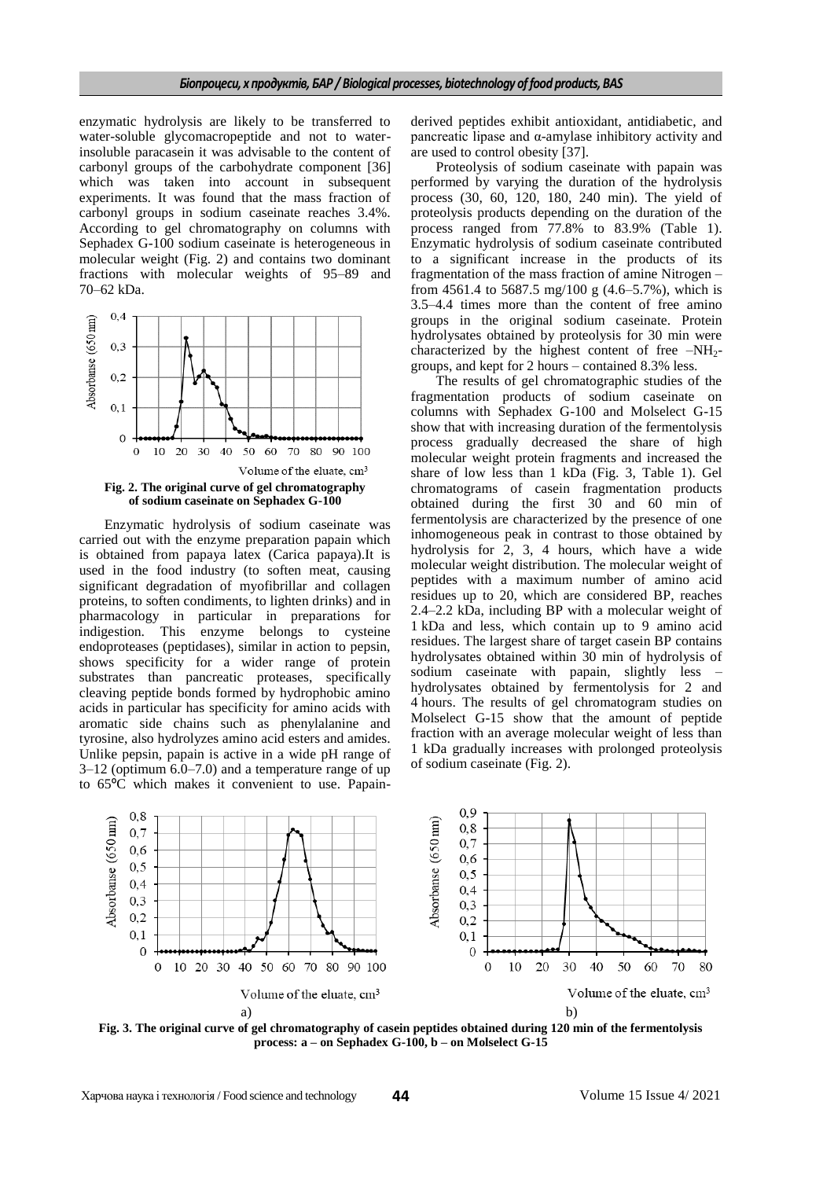enzymatic hydrolysis are likely to be transferred to water-soluble glycomacropeptide and not to waterinsoluble paracasein it was advisable to the content of carbonyl groups of the carbohydrate component [36] which was taken into account in subsequent experiments. It was found that the mass fraction of carbonyl groups in sodium caseinate reaches 3.4%. According to gel chromatography on columns with Sephadex G-100 sodium caseinate is heterogeneous in molecular weight (Fig. 2) and contains two dominant fractions with molecular weights of 95–89 and 70–62 kDa.



Enzymatic hydrolysis of sodium caseinate was carried out with the enzyme preparation papain which is obtained from papaya latex (Carica papaya).It is used in the food industry (to soften meat, causing significant degradation of myofibrillar and collagen proteins, to soften condiments, to lighten drinks) and in pharmacology in particular in preparations for indigestion. This enzyme belongs to cysteine endoproteases (peptidases), similar in action to pepsin, shows specificity for a wider range of protein substrates than pancreatic proteases, specifically cleaving peptide bonds formed by hydrophobic amino acids in particular has specificity for amino acids with aromatic side chains such as phenylalanine and tyrosine, also hydrolyzes amino acid esters and amides. Unlike pepsin, papain is active in a wide pH range of 3–12 (optimum 6.0–7.0) and a temperature range of up to 65ºC which makes it convenient to use. Papain-

derived peptides exhibit antioxidant, antidiabetic, and pancreatic lipase and α-amylase inhibitory activity and are used to control obesity [37].

Proteolysis of sodium caseinate with papain was performed by varying the duration of the hydrolysis process (30, 60, 120, 180, 240 min). The yield of proteolysis products depending on the duration of the process ranged from 77.8% to 83.9% (Table 1). Enzymatic hydrolysis of sodium caseinate contributed to a significant increase in the products of its fragmentation of the mass fraction of amine Nitrogen – from 4561.4 to 5687.5 mg/100 g (4.6–5.7%), which is 3.5–4.4 times more than the content of free amino groups in the original sodium caseinate. Protein hydrolysates obtained by proteolysis for 30 min were characterized by the highest content of free  $-NH_2$ groups, and kept for 2 hours – contained 8.3% less.

The results of gel chromatographic studies of the fragmentation products of sodium caseinate on columns with Sephadex G-100 and Molselect G-15 show that with increasing duration of the fermentolysis process gradually decreased the share of high molecular weight protein fragments and increased the share of low less than 1 kDa (Fig. 3, Table 1). Gel chromatograms of casein fragmentation products obtained during the first 30 and 60 min of fermentolysis are characterized by the presence of one inhomogeneous peak in contrast to those obtained by hydrolysis for 2, 3, 4 hours, which have a wide molecular weight distribution. The molecular weight of peptides with a maximum number of amino acid residues up to 20, which are considered BP, reaches 2.4–2.2 kDa, including BP with a molecular weight of 1 kDa and less, which contain up to 9 amino acid residues. The largest share of target casein BP contains hydrolysates obtained within 30 min of hydrolysis of sodium caseinate with papain, slightly less hydrolysates obtained by fermentolysis for 2 and 4 hours. The results of gel chromatogram studies on Molselect G-15 show that the amount of peptide fraction with an average molecular weight of less than 1 kDa gradually increases with prolonged proteolysis of sodium caseinate (Fig. 2).



**Fig. 3. The original curve of gel chromatography of casein peptides obtained during 120 min of the fermentolysis process: a – on Sephadex G-100, b – on Molselect G-15**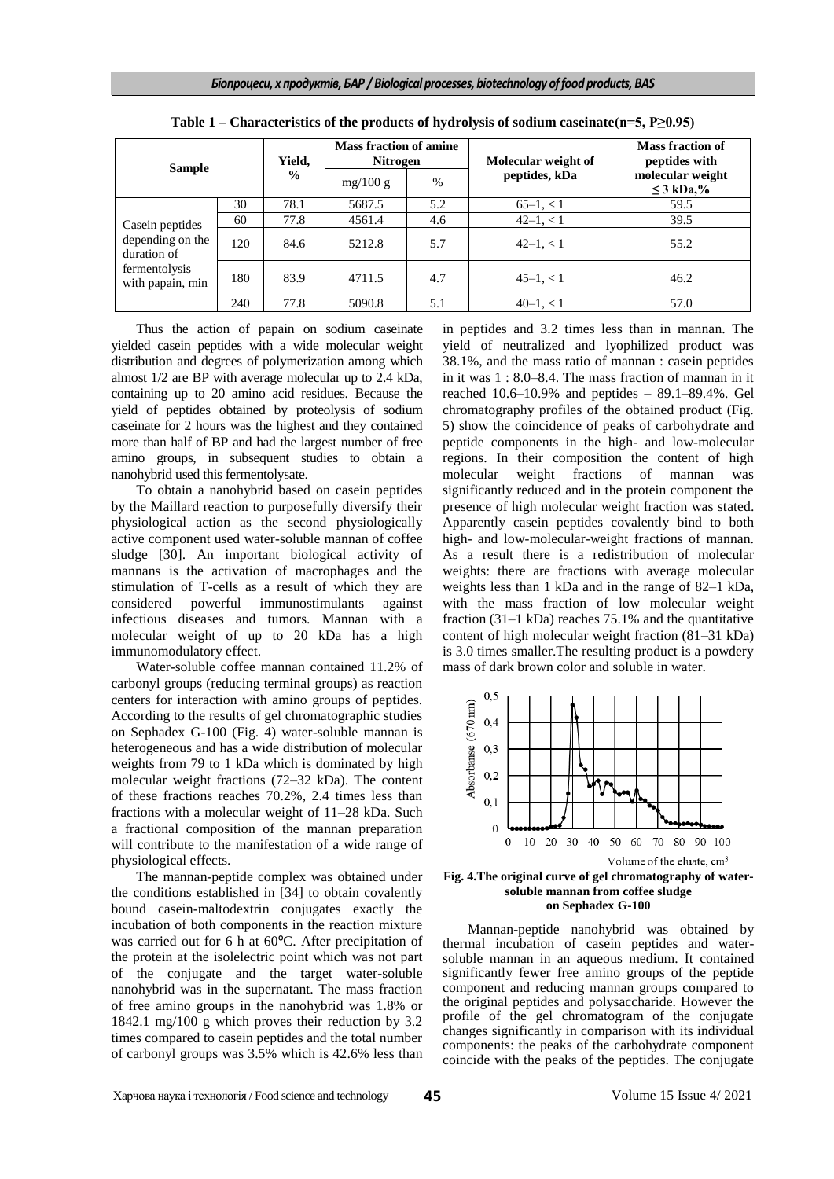| <b>Sample</b>                                                                            |     | Yield,<br>$\frac{6}{9}$ | <b>Mass fraction of amine</b><br><b>Nitrogen</b> |               | Molecular weight of | <b>Mass fraction of</b><br>peptides with |
|------------------------------------------------------------------------------------------|-----|-------------------------|--------------------------------------------------|---------------|---------------------|------------------------------------------|
|                                                                                          |     |                         | mg/100 g                                         | $\frac{0}{0}$ | peptides, kDa       | molecular weight<br>$\leq$ 3 kDa,%       |
| Case in peptides<br>depending on the<br>duration of<br>fermentolysis<br>with papain, min | 30  | 78.1                    | 5687.5                                           | 5.2           | $65-1, < 1$         | 59.5                                     |
|                                                                                          | 60  | 77.8                    | 4561.4                                           | 4.6           | $42-1, < 1$         | 39.5                                     |
|                                                                                          | 120 | 84.6                    | 5212.8                                           | 5.7           | $42-1, < 1$         | 55.2                                     |
|                                                                                          | 180 | 83.9                    | 4711.5                                           | 4.7           | $45-1, < 1$         | 46.2                                     |
|                                                                                          | 240 | 77.8                    | 5090.8                                           | 5.1           | $40-1, < 1$         | 57.0                                     |

**Table 1 – Characteristics of the products of hydrolysis of sodium caseinate(n=5, P≥0.95)**

Thus the action of papain on sodium caseinate yielded casein peptides with a wide molecular weight distribution and degrees of polymerization among which almost 1/2 are BP with average molecular up to 2.4 kDa, containing up to 20 amino acid residues. Because the yield of peptides obtained by proteolysis of sodium caseinate for 2 hours was the highest and they contained more than half of BP and had the largest number of free amino groups, in subsequent studies to obtain a nanohybrid used this fermentolysate.

To obtain a nanohybrid based on casein peptides by the Maillard reaction to purposefully diversify their physiological action as the second physiologically active component used water-soluble mannan of coffee sludge [30]. An important biological activity of mannans is the activation of macrophages and the stimulation of T-cells as a result of which they are considered powerful immunostimulants against infectious diseases and tumors. Mannan with a molecular weight of up to 20 kDa has a high immunomodulatory effect.

Water-soluble coffee mannan contained 11.2% of carbonyl groups (reducing terminal groups) as reaction centers for interaction with amino groups of peptides. According to the results of gel chromatographic studies on Sephadex G-100 (Fig. 4) water-soluble mannan is heterogeneous and has a wide distribution of molecular weights from 79 to 1 kDa which is dominated by high molecular weight fractions (72–32 kDa). The content of these fractions reaches 70.2%, 2.4 times less than fractions with a molecular weight of 11–28 kDa. Such a fractional composition of the mannan preparation will contribute to the manifestation of a wide range of physiological effects.

The mannan-peptide complex was obtained under the conditions established in [34] to obtain covalently bound casein-maltodextrin conjugates exactly the incubation of both components in the reaction mixture was carried out for 6 h at 60ºC. After precipitation of the protein at the isolelectric point which was not part of the conjugate and the target water-soluble nanohybrid was in the supernatant. The mass fraction of free amino groups in the nanohybrid was 1.8% or 1842.1 mg/100 g which proves their reduction by 3.2 times compared to casein peptides and the total number of carbonyl groups was 3.5% which is 42.6% less than

in peptides and 3.2 times less than in mannan. The yield of neutralized and lyophilized product was 38.1%, and the mass ratio of mannan : casein peptides in it was 1 : 8.0–8.4. The mass fraction of mannan in it reached  $10.6-10.9\%$  and peptides  $-89.1-89.4\%$ . Gel chromatography profiles of the obtained product (Fig. 5) show the coincidence of peaks of carbohydrate and peptide components in the high- and low-molecular regions. In their composition the content of high molecular weight fractions of mannan was significantly reduced and in the protein component the presence of high molecular weight fraction was stated. Apparently casein peptides covalently bind to both high- and low-molecular-weight fractions of mannan. As a result there is a redistribution of molecular weights: there are fractions with average molecular weights less than 1 kDa and in the range of 82–1 kDa, with the mass fraction of low molecular weight fraction  $(31-1 \text{ kDa})$  reaches 75.1% and the quantitative content of high molecular weight fraction (81–31 kDa) is 3.0 times smaller.The resulting product is a powdery mass of dark brown color and soluble in water.



**Fig. 4.The original curve of gel chromatography of watersoluble mannan from coffee sludge on Sephadex G-100**

Mannan-peptide nanohybrid was obtained by thermal incubation of casein peptides and watersoluble mannan in an aqueous medium. It contained significantly fewer free amino groups of the peptide component and reducing mannan groups compared to the original peptides and polysaccharide. However the profile of the gel chromatogram of the conjugate changes significantly in comparison with its individual components: the peaks of the carbohydrate component coincide with the peaks of the peptides. The conjugate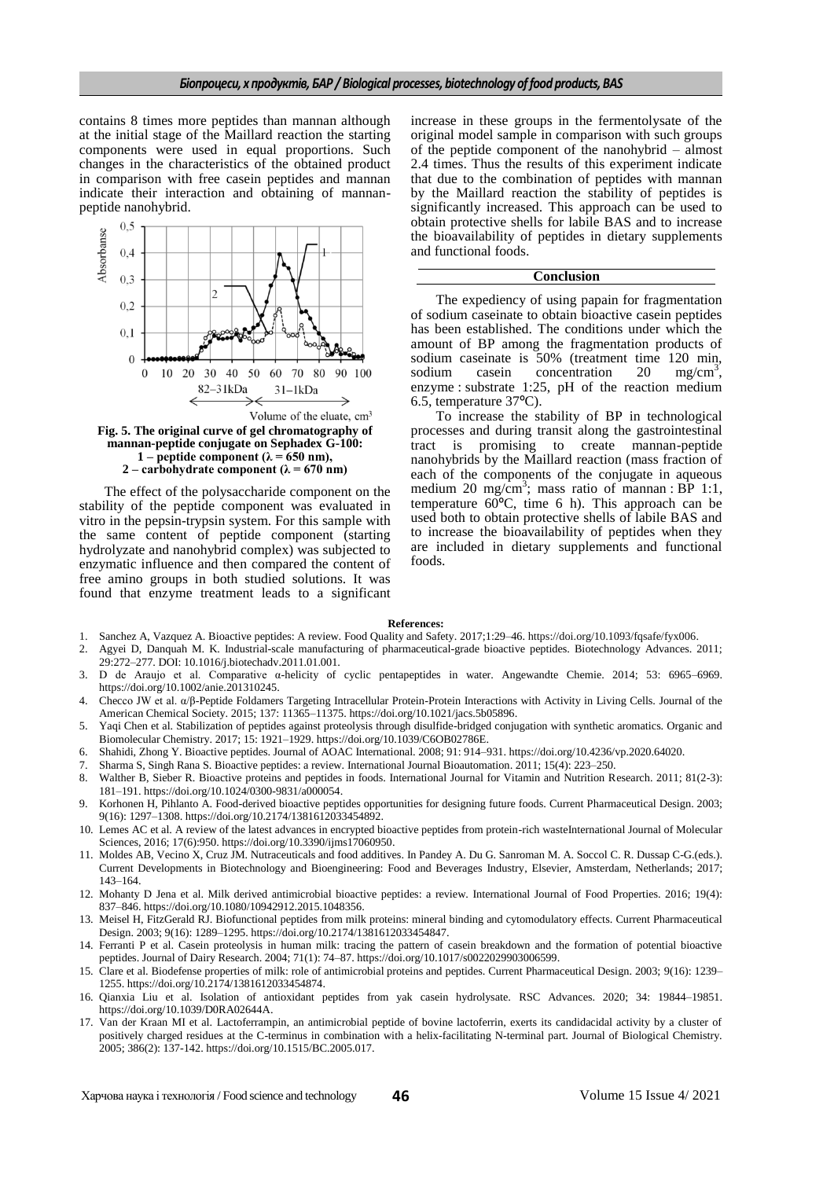contains 8 times more peptides than mannan although at the initial stage of the Maillard reaction the starting components were used in equal proportions. Such changes in the characteristics of the obtained product in comparison with free casein peptides and mannan indicate their interaction and obtaining of mannanpeptide nanohybrid.



**1** – **peptide component** ( $\lambda$  = 650 nm), **2 – carbohydrate component (λ = 670 nm)**

The effect of the polysaccharide component on the stability of the peptide component was evaluated in vitro in the pepsin-trypsin system. For this sample with the same content of peptide component (starting hydrolyzate and nanohybrid complex) was subjected to enzymatic influence and then compared the content of free amino groups in both studied solutions. It was found that enzyme treatment leads to a significant increase in these groups in the fermentolysate of the original model sample in comparison with such groups of the peptide component of the nanohybrid – almost 2.4 times. Thus the results of this experiment indicate that due to the combination of peptides with mannan by the Maillard reaction the stability of peptides is significantly increased. This approach can be used to obtain protective shells for labile BAS and to increase the bioavailability of peptides in dietary supplements and functional foods.

#### **Conclusion**

The expediency of using papain for fragmentation of sodium caseinate to obtain bioactive casein peptides has been established. The conditions under which the amount of BP among the fragmentation products of sodium caseinate is  $\frac{120 \text{ min}}{20 \text{ min}}$ , sodium casein concentration 20 mg/cm<sup>3</sup>. concentration  $mg/cm^3$ . enzyme : substrate 1:25, pH of the reaction medium 6.5, temperature 37ºC).

To increase the stability of BP in technological processes and during transit along the gastrointestinal tract is promising to create mannan-peptide nanohybrids by the Maillard reaction (mass fraction of each of the components of the conjugate in aqueous medium 20 mg/cm<sup>3</sup>; mass ratio of mannan : BP 1:1, temperature  $60^{\circ}$ C, time 6 h). This approach can be used both to obtain protective shells of labile BAS and to increase the bioavailability of peptides when they are included in dietary supplements and functional foods.

#### **References:**

- 1. Sanchez A, Vazquez A. Bioactive peptides: A review. Food Quality and Safety. 2017;1:29–46. [https://doi.org/10.1093/fqsafe/fyx006.](https://doi.org/10.1093/fqsafe/fyx006)
- 2. Agyei D, Danquah M. K. Industrial-scale manufacturing of pharmaceutical-grade bioactive peptides. Biotechnology Advances. 2011; 29:272–277. DOI: 10.1016/j.biotechadv.2011.01.001.
- 3. D de Araujo et al. Comparative α-helicity of cyclic pentapeptides in water. Angewandte Chemie. 2014; 53: 6965–6969. [https://doi.org/10.1002/anie.201310245.](https://doi.org/10.1002/anie.201310245)
- 4. Checco JW et al. α/β-Peptide Foldamers Targeting Intracellular Protein-Protein Interactions with Activity in Living Cells. Journal of the American Chemical Society. 2015; 137: 11365–11375[. https://doi.org/10.1021/jacs.5b05896.](https://doi.org/10.1021/jacs.5b05896)
- 5. Yaqi Chen et al. Stabilization of peptides against proteolysis through disulfide-bridged conjugation with synthetic aromatics. Organic and Biomolecular Chemistry. 2017; 15: 1921–1929[. https://doi.org/10.1039/C6OB02786E.](https://doi.org/10.1039/C6OB02786E)
- 6. Shahidi, Zhong Y. Bioactive peptides. Journal of AOAC International. 2008; 91: 914–931. https://doi.org[/10.4236/vp.2020.64020.](https://doi.org/10.4236/vp.2020.64020)
- 7. Sharma S, Singh Rana S. Bioactive peptides: a review. International Journal Bioautomation. 2011; 15(4): 223–250.
- 8. Walther B, Sieber R. Bioactive proteins and peptides in foods. International Journal for Vitamin and Nutrition Research. 2011; 81(2-3): 181–191. https://doi.org[/10.1024/0300-9831/a000054.](https://doi.org/10.1024/0300-9831/a000054)
- 9. Korhonen H, Pihlanto A. Food-derived bioactive peptides opportunities for designing future foods. Current Pharmaceutical Design. 2003; 9(16): 1297–1308. https://doi.org[/10.2174/1381612033454892.](https://doi.org/10.2174/1381612033454892)
- 10. Lemes AC et al. A review of the latest advances in encrypted bioactive peptides from protein-rich wasteInternational Journal of Molecular Sciences, 2016; 17(6):950. https://doi.org/10.3390/jims17060950.
- 11. Moldes AB, Vecino X, Cruz JM. Nutraceuticals and food additives. In Pandey A. Du G. Sanroman M. A. Soccol C. R. Dussap C-G.(eds.). Current Developments in Biotechnology and Bioengineering: Food and Beverages Industry, Elsevier, Amsterdam, Netherlands; 2017; 143–164.
- 12. Mohanty D Jena et al. Milk derived antimicrobial bioactive peptides: a review. International Journal of Food Properties. 2016; 19(4): 837–846. [https://doi.org/10.1080/10942912.2015.1048356.](https://doi.org/10.1080/10942912.2015.1048356)
- 13. Meisel H, FitzGerald RJ. Biofunctional peptides from milk proteins: mineral binding and cytomodulatory effects. Current Pharmaceutical Design. 2003; 9(16): 1289–1295. https://doi.or[g/10.2174/1381612033454847.](https://doi.org/10.2174/1381612033454847)
- 14. Ferranti P et al. Casein proteolysis in human milk: tracing the pattern of casein breakdown and the formation of potential bioactive peptides. Journal of Dairy Research. 2004; 71(1): 74–87. https://doi.or[g/10.1017/s0022029903006599.](https://doi.org/10.1017/s0022029903006599)
- 15. Clare et al. Biodefense properties of milk: role of antimicrobial proteins and peptides. Current Pharmaceutical Design. 2003; 9(16): 1239– 1255. https://doi.org[/10.2174/1381612033454874.](https://doi.org/10.2174/1381612033454874)
- 16. Qianxia Liu et al. Isolation of antioxidant peptides from yak casein hydrolysate. RSC Advances. 2020; 34: 19844–19851. [https://doi.org/10.1039/D0RA02644A.](https://doi.org/10.1039/D0RA02644A)
- 17. Van der Kraan MI et al. Lactoferrampin, an antimicrobial peptide of bovine lactoferrin, exerts its candidacidal activity by a cluster of positively charged residues at the C-terminus in combination with a helix-facilitating N-terminal part. Journal of Biological Chemistry. 2005; 386(2): 137-142. https://doi.or[g/10.1515/BC.2005.017.](https://doi.org/10.1515/bc.2005.017)